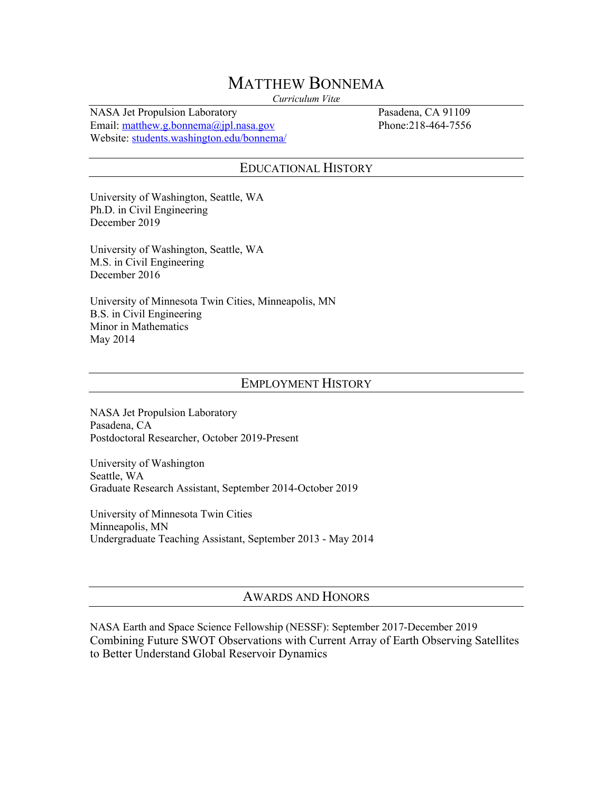# MATTHEW BONNEMA

*Curriculum Vitæ*

NASA Jet Propulsion Laboratory Pasadena, CA 91109 Email: matthew.g.bonnema@jpl.nasa.gov Phone:218-464-7556 Website: students.washington.edu/bonnema/

### EDUCATIONAL HISTORY

University of Washington, Seattle, WA Ph.D. in Civil Engineering December 2019

University of Washington, Seattle, WA M.S. in Civil Engineering December 2016

University of Minnesota Twin Cities, Minneapolis, MN B.S. in Civil Engineering Minor in Mathematics May 2014

### EMPLOYMENT HISTORY

NASA Jet Propulsion Laboratory Pasadena, CA Postdoctoral Researcher, October 2019-Present

University of Washington Seattle, WA Graduate Research Assistant, September 2014-October 2019

University of Minnesota Twin Cities Minneapolis, MN Undergraduate Teaching Assistant, September 2013 - May 2014

### AWARDS AND HONORS

NASA Earth and Space Science Fellowship (NESSF): September 2017-December 2019 Combining Future SWOT Observations with Current Array of Earth Observing Satellites to Better Understand Global Reservoir Dynamics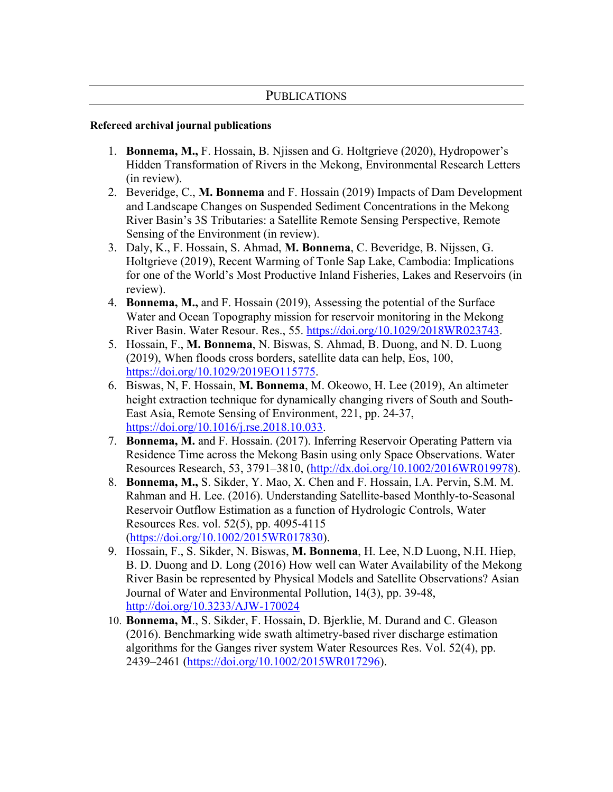### **PUBLICATIONS**

### **Refereed archival journal publications**

- 1. **Bonnema, M.,** F. Hossain, B. Njissen and G. Holtgrieve (2020), Hydropower's Hidden Transformation of Rivers in the Mekong, Environmental Research Letters (in review).
- 2. Beveridge, C., **M. Bonnema** and F. Hossain (2019) Impacts of Dam Development and Landscape Changes on Suspended Sediment Concentrations in the Mekong River Basin's 3S Tributaries: a Satellite Remote Sensing Perspective, Remote Sensing of the Environment (in review).
- 3. Daly, K., F. Hossain, S. Ahmad, **M. Bonnema**, C. Beveridge, B. Nijssen, G. Holtgrieve (2019), Recent Warming of Tonle Sap Lake, Cambodia: Implications for one of the World's Most Productive Inland Fisheries, Lakes and Reservoirs (in review).
- 4. **Bonnema, M.,** and F. Hossain (2019), Assessing the potential of the Surface Water and Ocean Topography mission for reservoir monitoring in the Mekong River Basin. Water Resour. Res., 55. https://doi.org/10.1029/2018WR023743.
- 5. Hossain, F., **M. Bonnema**, N. Biswas, S. Ahmad, B. Duong, and N. D. Luong (2019), When floods cross borders, satellite data can help, Eos, 100, https://doi.org/10.1029/2019EO115775.
- 6. Biswas, N, F. Hossain, **M. Bonnema**, M. Okeowo, H. Lee (2019), An altimeter height extraction technique for dynamically changing rivers of South and South-East Asia, Remote Sensing of Environment, 221, pp. 24-37, https://doi.org/10.1016/j.rse.2018.10.033.
- 7. **Bonnema, M.** and F. Hossain. (2017). Inferring Reservoir Operating Pattern via Residence Time across the Mekong Basin using only Space Observations. Water Resources Research, 53, 3791–3810, (http://dx.doi.org/10.1002/2016WR019978).
- 8. **Bonnema, M.,** S. Sikder, Y. Mao, X. Chen and F. Hossain, I.A. Pervin, S.M. M. Rahman and H. Lee. (2016). Understanding Satellite-based Monthly-to-Seasonal Reservoir Outflow Estimation as a function of Hydrologic Controls, Water Resources Res. vol. 52(5), pp. 4095-4115 (https://doi.org/10.1002/2015WR017830).
- 9. Hossain, F., S. Sikder, N. Biswas, **M. Bonnema**, H. Lee, N.D Luong, N.H. Hiep, B. D. Duong and D. Long (2016) How well can Water Availability of the Mekong River Basin be represented by Physical Models and Satellite Observations? Asian Journal of Water and Environmental Pollution, 14(3), pp. 39-48, http://doi.org/10.3233/AJW-170024
- 10. **Bonnema, M**., S. Sikder, F. Hossain, D. Bjerklie, M. Durand and C. Gleason (2016). Benchmarking wide swath altimetry-based river discharge estimation algorithms for the Ganges river system Water Resources Res. Vol. 52(4), pp. 2439–2461 (https://doi.org/10.1002/2015WR017296).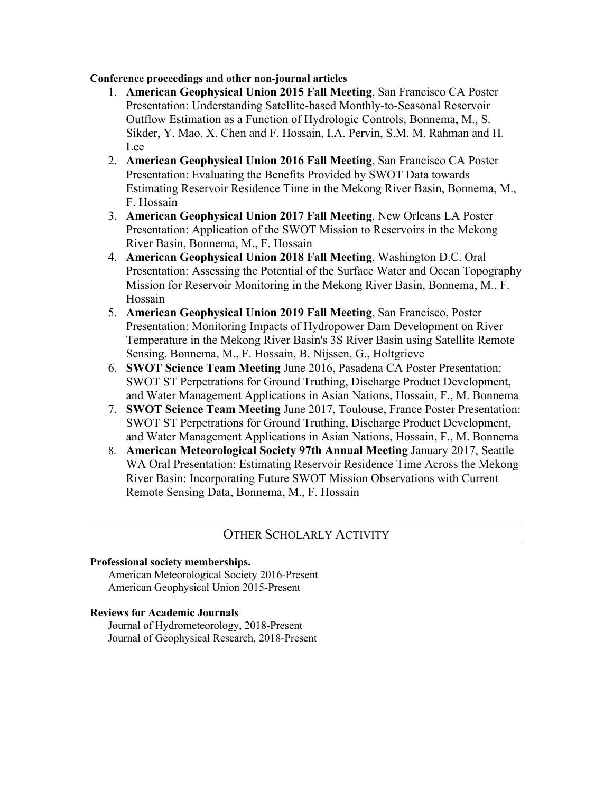#### **Conference proceedings and other non-journal articles**

- 1. **American Geophysical Union 2015 Fall Meeting**, San Francisco CA Poster Presentation: Understanding Satellite-based Monthly-to-Seasonal Reservoir Outflow Estimation as a Function of Hydrologic Controls, Bonnema, M., S. Sikder, Y. Mao, X. Chen and F. Hossain, I.A. Pervin, S.M. M. Rahman and H. Lee
- 2. **American Geophysical Union 2016 Fall Meeting**, San Francisco CA Poster Presentation: Evaluating the Benefits Provided by SWOT Data towards Estimating Reservoir Residence Time in the Mekong River Basin, Bonnema, M., F. Hossain
- 3. **American Geophysical Union 2017 Fall Meeting**, New Orleans LA Poster Presentation: Application of the SWOT Mission to Reservoirs in the Mekong River Basin, Bonnema, M., F. Hossain
- 4. **American Geophysical Union 2018 Fall Meeting**, Washington D.C. Oral Presentation: Assessing the Potential of the Surface Water and Ocean Topography Mission for Reservoir Monitoring in the Mekong River Basin, Bonnema, M., F. Hossain
- 5. **American Geophysical Union 2019 Fall Meeting**, San Francisco, Poster Presentation: Monitoring Impacts of Hydropower Dam Development on River Temperature in the Mekong River Basin's 3S River Basin using Satellite Remote Sensing, Bonnema, M., F. Hossain, B. Nijssen, G., Holtgrieve
- 6. **SWOT Science Team Meeting** June 2016, Pasadena CA Poster Presentation: SWOT ST Perpetrations for Ground Truthing, Discharge Product Development, and Water Management Applications in Asian Nations, Hossain, F., M. Bonnema
- 7. **SWOT Science Team Meeting** June 2017, Toulouse, France Poster Presentation: SWOT ST Perpetrations for Ground Truthing, Discharge Product Development, and Water Management Applications in Asian Nations, Hossain, F., M. Bonnema
- 8. **American Meteorological Society 97th Annual Meeting** January 2017, Seattle WA Oral Presentation: Estimating Reservoir Residence Time Across the Mekong River Basin: Incorporating Future SWOT Mission Observations with Current Remote Sensing Data, Bonnema, M., F. Hossain

### OTHER SCHOLARLY ACTIVITY

#### **Professional society memberships.**

American Meteorological Society 2016-Present American Geophysical Union 2015-Present

#### **Reviews for Academic Journals**

Journal of Hydrometeorology, 2018-Present Journal of Geophysical Research, 2018-Present